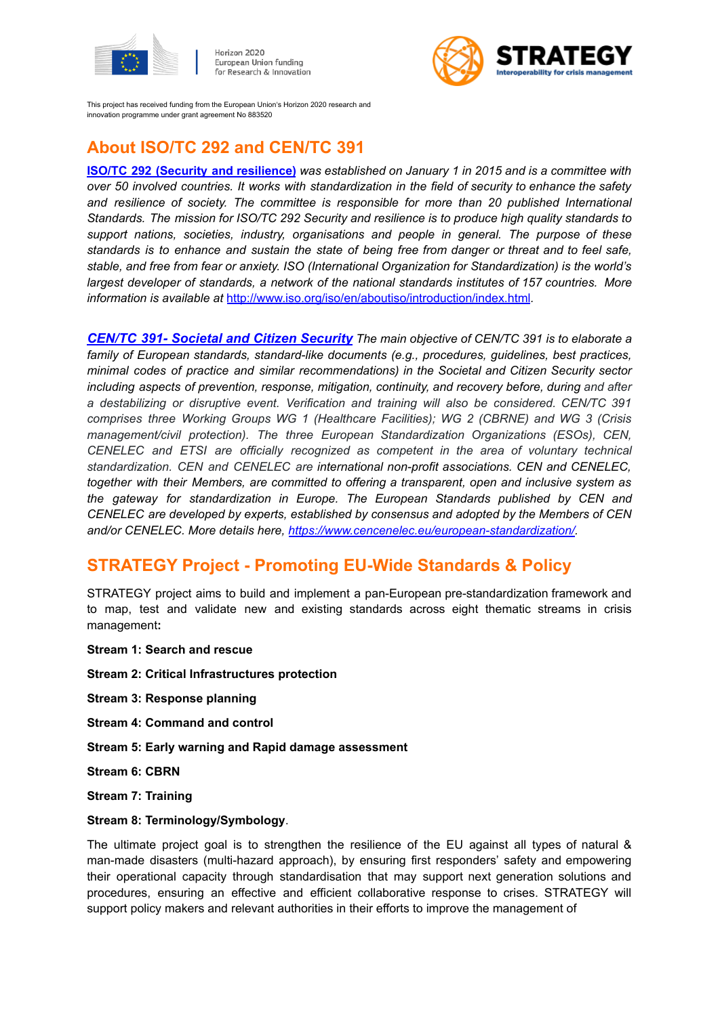

Horizon 2020 European Union funding for Research & Innovation



This project has received funding from the European Union's Horizon 2020 research and innovation programme under grant agreement No 883520

## **About ISO/TC 292 and CEN/TC 391**

**ISO/TC 292 (Security and [resilience\)](https://www.iso.org/committee/5259148.html)** *was established on January 1 in 2015 and is a committee with over 50 involved countries. It works with standardization in the field of security to enhance the safety and resilience of society. The committee is responsible for more than 20 published International Standards. The mission for ISO/TC 292 Security and resilience is to produce high quality standards to support nations, societies, industry, organisations and people in general. The purpose of these* standards is to enhance and sustain the state of being free from danger or threat and to feel safe, *stable, and free from fear or anxiety. ISO (International Organization for Standardization) is the world's largest developer of standards, a network of the national standards institutes of 157 countries. More information is available at* <http://www.iso.org/iso/en/aboutiso/introduction/index.html>*.*

*CEN/TC 391- Societal and Citizen [Security](https://standards.cencenelec.eu/dyn/www/f?p=205:7:0::::FSP_ORG_ID:680331&cs=1D102578ADD777D09EAC5ED07F4632E32) The main objective of CEN/TC 391 is to elaborate a family of European standards, standard-like documents (e.g., procedures, guidelines, best practices, minimal codes of practice and similar recommendations) in the Societal and Citizen Security sector including aspects of prevention, response, mitigation, continuity, and recovery before, during and after a destabilizing or disruptive event. Verification and training will also be considered. CEN/TC 391 comprises three Working Groups WG 1 (Healthcare Facilities); WG 2 (CBRNE) and WG 3 (Crisis management/civil protection). The three European Standardization Organizations (ESOs), CEN, CENELEC and ETSI are officially recognized as competent in the area of voluntary technical standardization. CEN and CENELEC are international non-profit associations. CEN and CENELEC, together with their Members, are committed to offering a transparent, open and inclusive system as the gateway for standardization in Europe. The European Standards published by CEN and CENELEC are developed by experts, established by consensus and adopted by the Members of CEN and/or CENELEC. More details here, [https://www.cencenelec.eu/european-standardization/.](https://www.cencenelec.eu/european-standardization/)*

## **STRATEGY Project - Promoting EU-Wide Standards & Policy**

STRATEGY project aims to build and implement a pan-European pre-standardization framework and to map, test and validate new and existing standards across eight thematic streams in crisis management**:**

- **Stream 1: Search and rescue**
- **Stream 2: Critical Infrastructures protection**
- **Stream 3: Response planning**
- **Stream 4: Command and control**
- **Stream 5: Early warning and Rapid damage assessment**
- **Stream 6: CBRN**
- **Stream 7: Training**

#### **Stream 8: Terminology/Symbology**.

The ultimate project goal is to strengthen the resilience of the EU against all types of natural & man-made disasters (multi-hazard approach), by ensuring first responders' safety and empowering their operational capacity through standardisation that may support next generation solutions and procedures, ensuring an effective and efficient collaborative response to crises. STRATEGY will support policy makers and relevant authorities in their efforts to improve the management of